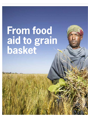# **From food aid to grain basket**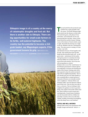**Ethiopia's image is of a country at the mercy of catastrophic droughts and food aid. But there is another side to Ethiopia. There are big opportunities for small-scale farmers in its fertile, well-watered highlands. The country has the potential to become a rich grain basket, say Wageningen experts. If the government loosens its grip. TEXT MARION DE BOO** 

**Photography** hollandse hoogte **Illustration** Schwandt infographics



**The road north from the provincial capital Bahir Dar is quite passable in the dry season. The fertile Ethiopian highlands stretch into the distance on both sides.** he road north from the provincial capital Bahir Dar is quite passable in the dry season. The fertile Ethiopian high-The land looks green, with plenty of trees and bushes, and small herds of cows and goats grazing here and there. About 35 kilometres down the road the Farmers Training Centre of the district of South Achefer comes in sight. Meanwhile the burning sun is high in the sky. Muluken Lulie has a meeting here today. 'The rainy season is coming; it is time to plant,' says Lulie.

Lulie tills three hectares of land together with his wife. They mainly grow maize for their family but they also grow barley, teff – an old grain variety – and potatoes for the market. 'During busy times we sometimes hire help when the children are at school, but we do most of the work ourselves. One of my sons will soon graduate as a doctor.' Muluken Lulie is one of the 'model farmers' in the Ethiopian government's national agriculture programme. He learns new farming techniques at the Farmers Training centre and is then expected to share his newly won knowledge with ten neighbouring families. They in turn should reach out to ten other families so that a snowball effect is created and tens of thousands of farmers are eventually reached. Lulie's neighbours, Teshome Melese and Yeshialem Addis, were day labourers without land of their own. This year they were able to lease 2.5 hectares. They are looking to their neighbour for guidance on how to go about things, they explain in the shade of their mud hut, where chickens scratch around and a watchdog barks. Female farmer Yeshialem runs the household with four children but also helps as much as she can on the farm. 'Raking, weeding, harvesting; the ploughing is the only thing I leave to my husband.'

#### **Fertile and well-watered**

Ethiopia often seems to be synonymous with drought, hunger and food aid. 'And yet **>**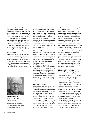there is tremendous potential,' says tropical soils expert Arie van Kekem of Alterra Wageningen UR. A considerable proportion of this African country – an area the size of France and Spain combined – consists of fertile highlands with more than enough rain. 'With a bit more knowhow farmers here could increase their yields in no time,' says Van Kekem. 'Ethiopia has the potential to become a major agricultural export country. For the time being it is the small-scale farmers who produce most of the food. Improving their harvests is the basis for increasing rural prosperity so that children can go to school.'

Van Kekem is project leader of CASCAPE, a scientific five-year plan for increasing the agricultural yields, the trade in farm produce and the food security of small-scale farmers in Ethiopia. CASCAPE is a collaboration between six Ethiopian universities and Wageningen experts from Alterra and the Centre for Development Innovation. Six



**Arie van Kekem,** expert on tropical soils at Alterra Wageningen UR

**'With a bit more knowhow farmers here could increase their yields in no time'**

promising growth regions of the fertile Ethiopian highlands have been selected. These 'high potential' regions each have their own CASCAPE team with an interdisciplinary group of mainly young, well-educated Ethiopian experts. The project focuses on agriculture, livestock, natural resources, gender and nutrition-related issues. The Dutch department of Development Cooperation is funding CASCAPE to the tune of 12.5 million euros up to the end of 2015.

'I was shocked to discover that 50 percent of the young children in our research area in Amhara were malnourished,' says Van Kekem. 'The soil there is often very fertile, it gets almost twice as much rain in a year as the Netherlands and there is plenty of irrigation water. But the daily menu is too one-sided, especially for small children and pregnant women.'

Firew Tegegne Amogne, vice president of the University of Bahir Dar and assistant coordinator of the CASCAPE project, talks of a paradox. 'Amhara has the highest yields in Ethiopia, but it also has the most malnutrition. That is why it is important not just to look as food security but also at nutrition security. Fortunately our project team has now been expanded to include a nutrition expert.'

#### **From aid to trade**

CASCAPE offers scientific support to the Ethiopian government's ambitious national agriculture programme, funded by the World Bank and many other donors. The government's aim for this Agricultural Growth Programme is to make the switch as fast as possible from food aid to trade and economic collaboration. The new Dutch development policy – Trade, not Aid – is a perfect fit. Both Dutch and Ethiopian policymakers point to the example of the Dutch flower growers who came to Ethiopia with the help of development

funding and have turned the country into a major flower exporter.

Within CASCAPE a lot of attention is paid to soil fertility and advice on fertilizers. Project leader Van Kekem points out the big discrepancies in soil fertility. 'There are deep red soils with a thick layer of rich topsoil, but there are also places with a lot of erosion where that fertile soil has disappeared and the ground is stony. There is a lack of good advice on fertilizer use and the traditional extension service functions poorly. Extension workers are not adequately trained and the knowledge which is generated in agricultural research and at universities does not get through to farmers enough.'

But CASCAPE workers do go into the field. They talk to farmers, address their problems, demonstrate new methods and offer advice on good seeds, combatting diseases and pests, and the right fertilizer. 'Then you see fantastic results within a short period of time,' says Van Kekem.

#### **Government control**

There is little scope in Ethiopia for private initiatives – in the artificial fertilizer sector for instance. The government controls the import and distribution of artificial fertilizer. Farmers often lack good seed and a well-functioning cycle of organic matter. 'In the end organic matter is much more important than artificial fertilizer for keeping the soil healthy,' says van Kekem. 'Farmers do not put enough organic matter back into the soil because they also need it for livestock feed, fuel and roofing. All that happens at the expense of soil fertility. We advise the farmers to put more animal manure, kitchen waste and other sources of organic matter on their land.' 'Our work really isn't rocket science,' says Christy van Beek of Alterra. 'The harvest can often be tripled immediately with simple interventions.' The supply of artificial fertilizer in Ethiopia is in government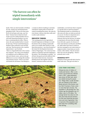## **'The harvest can often be tripled immediately with simple interventions'**

hands. There are only two kinds or fertilizer for sale, namely urea and diammonium phosphate (DAP). They are far from suitable for all soil types and crops, says Van Beek. 'Farmers have to bend over backwards to pay for artificial fertilizer but on acid soils ammonium fertilizer can even have a counterproductive effect. What is more, the same standard advice is issued for all crops. We have started drawing up fertilizer advice tailored to each soil type and crop. That has proven to be a massive improvement,' says Van Beek.

'There is a huge biodiversity in the country,' she continues. 'You come across biophysical conditions such as differences in altitude and climatic zones, and you also get differences in access to things like markets and extension services. There is no standard formula for all farmers. But Ethiopia is

a country in which everything is extremely centralized. People prefer to decide and control everything from above, the same for every farmer, whereas what they really need is tailor-made solutions.'

#### **Innovative thinking**

'The starting point for the Agricultural Growth Programme in Ethiopia is to look for farmers who are doing exceptionally well so as to enable other farmers to copy those best practices,' says Irene Koomen of the Centre for Development Innovation (CDI) in Wageningen. 'Our centre has been called in to stimulate innovative thinking in the project. The technology is available – we all know that good seed and sufficient fertilizer lead to better harvests. Innovative thinking means that together with local farmers, extension workers and other

stakeholders, you look into what is required at a specific place to speed up progress.' This thinking includes an examination of why some new ideas are taken up and others are not. For this it is important not to tar all farmers with the same brush. Someone who has five hectares can afford to experiment a bit more than his neighbour with only a quarter of a hectare of land. Some farmers are dirt poor and illiterate, while others have been to school or may have managed to save some money as migrant workers. Some farms are run by women, often widows. They do not have their own oxen for ploughing – which is primarily men's work.

#### **Household kitty**

Ethiopian women generally find it hard to make ends meet. They get to do their **>**



#### **Less than 5 hectares**

Ethiopia has tens of millions of small-scale farmers. After a communist coup all land was nationalized in 1991. Large landowners were driven off their land, which was divided among the population. Village elders usually decided who was allowed to farm where. Ninety percent of the farmers own less that 5 hectares of land, some no more that half a hectare. The population is still growing fast. One century ago the population was 10 million, now it is 90 million. The average farmer has about six children and if they become farmers too then land ownership becomes more and more fragmented. Only 13 percent of the population earn their keep from something other than farming.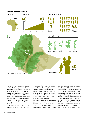

### **Food production in Ethiopia**

share of the work but not of the decisionmaking. Traditionally, the man is in charge of the cash crops while the woman grows beans for the family on a leftover patch of land. If more emphasis comes to be laid on cash crops the possibility cannot be ruled out that women will be made to give up their land. 'And the question is whether the money earned at the market always goes into the household kitty,' says Koomen.

'In some districts the man eats separately and goes first. Women and children have

to see what is left over. We need to have a good look at whether the Agricultural Growth Programme really improves the nutritional situation at all. As a researcher you always have to be alert to the fact that interventions can work out counterproductively.' According to Koomen, extension workers like working with the progressive farmers, who are quick to pick up on new ideas. 'They visit them often and enthusiastically. They have much less contact with all the other farmers.' Farmers are also given the chance to visit a

network of training centres. But Koomen feels the approach is very top-down. 'Extension workers and research institutes pump all sorts of new ideas into the system from above, without having much affinity with their target group and without distinguishing between different kinds of farmers.' Meanwhile, they are running into various practical problems. Artificial fertilizer and seed, for instance, are often hard to come by in time for the start of the planting season. What is more, farmers have to borrow money for them, but mi-